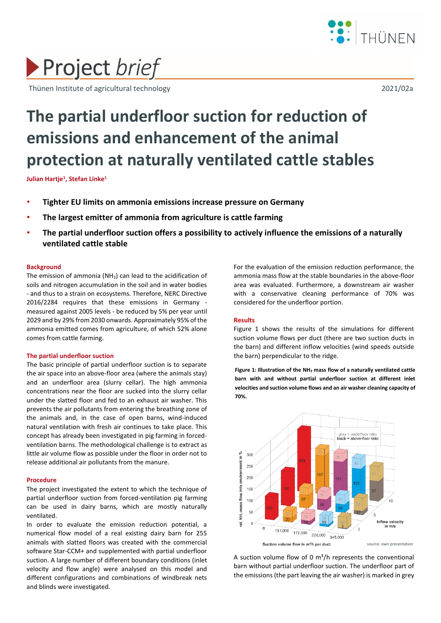

# Project brief

Thünen Institute of agricultural technology 2021/02a

# **The partial underfloor suction for reduction of emissions and enhancement of the animal protection at naturally ventilated cattle stables**

**Julian Hartje<sup>1</sup> , Stefan Linke<sup>1</sup>**

- **Tighter EU limits on ammonia emissions increase pressure on Germany**
- **The largest emitter of ammonia from agriculture is cattle farming**
- **The partial underfloor suction offers a possibility to actively influence the emissions of a naturally ventilated cattle stable**

# **Background**

The emission of ammonia ( $NH<sub>3</sub>$ ) can lead to the acidification of soils and nitrogen accumulation in the soil and in water bodies - and thus to a strain on ecosystems. Therefore, NERC Directive 2016/2284 requires that these emissions in Germany measured against 2005 levels - be reduced by 5% per year until 2029 and by 29% from 2030 onwards. Approximately 95% of the ammonia emitted comes from agriculture, of which 52% alone comes from cattle farming.

#### **The partial underfloor suction**

The basic principle of partial underfloor suction is to separate the air space into an above-floor area (where the animals stay) and an underfloor area (slurry cellar). The high ammonia concentrations near the floor are sucked into the slurry cellar under the slatted floor and fed to an exhaust air washer. This prevents the air pollutants from entering the breathing zone of the animals and, in the case of open barns, wind-induced natural ventilation with fresh air continues to take place. This concept has already been investigated in pig farming in forcedventilation barns. The methodological challenge is to extract as little air volume flow as possible under the floor in order not to release additional air pollutants from the manure.

# **Procedure**

The project investigated the extent to which the technique of partial underfloor suction from forced-ventilation pig farming can be used in dairy barns, which are mostly naturally ventilated.

In order to evaluate the emission reduction potential, a numerical flow model of a real existing dairy barn for 255 animals with slatted floors was created with the commercial software Star-CCM+ and supplemented with partial underfloor suction. A large number of different boundary conditions (inlet velocity and flow angle) were analysed on this model and different configurations and combinations of windbreak nets and blinds were investigated.

For the evaluation of the emission reduction performance, the ammonia mass flow at the stable boundaries in the above-floor area was evaluated. Furthermore, a downstream air washer with a conservative cleaning performance of 70% was considered for the underfloor portion.

# **Results**

Figure 1 shows the results of the simulations for different suction volume flows per duct (there are two suction ducts in the barn) and different inflow velocities (wind speeds outside the barn) perpendicular to the ridge.

**Figure 1: Illustration of the NH<sup>3</sup> mass flow of a naturally ventilated cattle barn with and without partial underfloor suction at different inlet velocities and suction volume flows and an air washer cleaning capacity of 70%.**



A suction volume flow of 0  $m^3/h$  represents the conventional barn without partial underfloor suction. The underfloor part of the emissions (the part leaving the air washer) is marked in grey